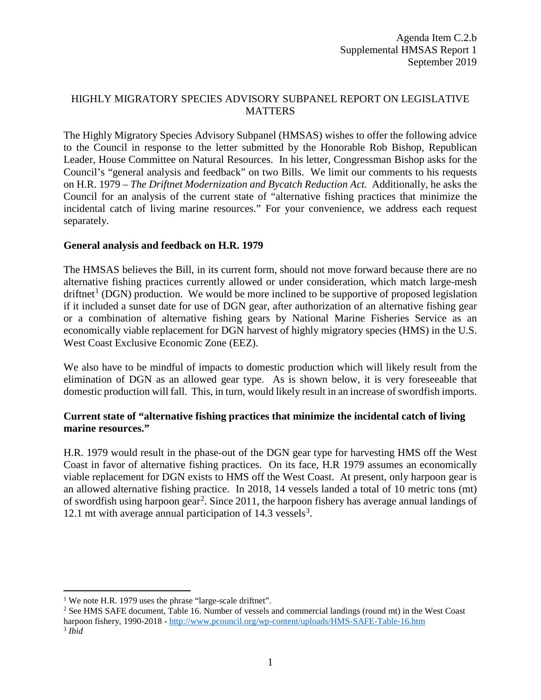## HIGHLY MIGRATORY SPECIES ADVISORY SUBPANEL REPORT ON LEGISLATIVE MATTERS

The Highly Migratory Species Advisory Subpanel (HMSAS) wishes to offer the following advice to the Council in response to the letter submitted by the Honorable Rob Bishop, Republican Leader, House Committee on Natural Resources. In his letter, Congressman Bishop asks for the Council's "general analysis and feedback" on two Bills. We limit our comments to his requests on H.R. 1979 – *The Driftnet Modernization and Bycatch Reduction Act.* Additionally, he asks the Council for an analysis of the current state of "alternative fishing practices that minimize the incidental catch of living marine resources." For your convenience, we address each request separately.

## **General analysis and feedback on H.R. 1979**

The HMSAS believes the Bill, in its current form, should not move forward because there are no alternative fishing practices currently allowed or under consideration, which match large-mesh  $driftnet<sup>1</sup>$  $driftnet<sup>1</sup>$  $driftnet<sup>1</sup>$  (DGN) production. We would be more inclined to be supportive of proposed legislation if it included a sunset date for use of DGN gear, after authorization of an alternative fishing gear or a combination of alternative fishing gears by National Marine Fisheries Service as an economically viable replacement for DGN harvest of highly migratory species (HMS) in the U.S. West Coast Exclusive Economic Zone (EEZ).

We also have to be mindful of impacts to domestic production which will likely result from the elimination of DGN as an allowed gear type. As is shown below, it is very foreseeable that domestic production will fall. This, in turn, would likely result in an increase of swordfish imports.

## **Current state of "alternative fishing practices that minimize the incidental catch of living marine resources."**

H.R. 1979 would result in the phase-out of the DGN gear type for harvesting HMS off the West Coast in favor of alternative fishing practices. On its face, H.R 1979 assumes an economically viable replacement for DGN exists to HMS off the West Coast. At present, only harpoon gear is an allowed alternative fishing practice. In 2018, 14 vessels landed a total of 10 metric tons (mt) of swordfish using harpoon gear<sup>[2](#page-0-1)</sup>. Since 2011, the harpoon fishery has average annual landings of 12.1 mt with average annual participation of  $14.3$  $14.3$  vessels<sup>3</sup>.

l

<span id="page-0-2"></span>

<span id="page-0-1"></span><span id="page-0-0"></span><sup>&</sup>lt;sup>1</sup> We note H.R. 1979 uses the phrase "large-scale driftnet".<br><sup>2</sup> See HMS SAFE document, Table 16. Number of vessels and commercial landings (round mt) in the West Coast harpoon fishery, 1990-2018 - <http://www.pcouncil.org/wp-content/uploads/HMS-SAFE-Table-16.htm> <sup>3</sup> *Ibid*